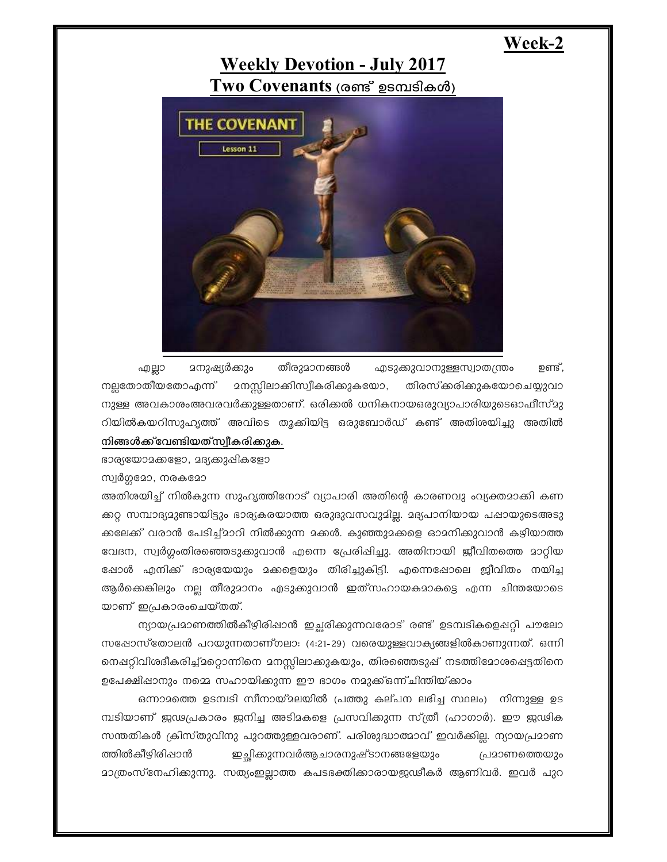## Week-2

## **Weekly Devotion - July 2017** Two Covenants (രണ്ട് ഉടമ്പടികൾ)



**മനുഷ്യർക്കും** തീരുമാനങ്ങൾ എടുക്കുവാനുള്ളസ്വാതന്ത്രം ഉണ്ട് , എല്ലാ നല്ലതോതീയതോഎന്ന് **മനസ്സിലാക്കിസ്വീകരിക്കുകയോ,** തിരസ്കരിക്കുകയോചെയ്യുവാ നുള്ള അവകാശംഅവരവർക്കുള്ളതാണ്. ഒരിക്കൽ ധനികനായഒരുവ്യാപാരിയുടെഓഫീസ്മു റിയിൽകയറിസുഹൃത്ത് അവിടെ തൂക്കിയിട്ട ഒരുബോർഡ് കണ്ട് അതിശയിച്ചു അതിൽ നിങ്ങൾക്ക് വേണ്ടിയത് സ്വീകരിക്കുക.

ഭാര്യയോമക്കളോ, മദ്യക്കുപ്പികളോ

സ്വർഗ്ഗദോ, നരകമോ

അതിശയിച്ച് നിൽകുന്ന സുഹൃത്തിനോട് വ്യാപാരി അതിന്റെ കാരണവു ംവ്യക്തമാക്കി കണ ക്കറ്റ സമ്പാദ്യമുണ്ടായിട്ടും ഭാര്യകരയാത്ത ഒരുദുവസവുമില്ല. മദ്യപാനിയായ പഷായുടെഅടു ക്കലേക്ക് വരാൻ പേടിച്ച്മാറി നിൽക്കുന്ന മക്കൾ. കുഞ്ഞുമക്കളെ ഓമനിക്കുവാൻ കഴിയാത്ത വേദന, സ്വർഗ്ഗംതിരഞ്ഞെടുക്കുവാൻ എന്നെ പ്രേരിഷിച്ചു. അതിനായി ജീവിതത്തെ മാറ്റിയ ഷോൾ എനിക്ക് ഭാര്യയേയും മക്കളെയും തിരിച്ചുകിട്ടി. എന്നെഷോലെ ജീവിതം നയിച്ച ആർക്കെങ്കിലും നല്ല തീരുമാനം എടുക്കുവാൻ ഇത്സഹായകമാകട്ടെ എന്ന ചിന്തയോടെ യാണ് ഇപ്രകാരംചെയ്തത്.

ന്യായപ്രമാണത്തിൽകീഴിരിഷാൻ ഇച്ഛരിക്കുന്നവരോട് രണ്ട് ഉടമ്പടികളെഷറ്റി പൗലോ സഷോസ്തോലൻ പറയുന്നതാണ്ഗലാ $:$  (4:21-29) വരെയുള്ളവാക്യങ്ങളിൽകാണുന്നത്. ഒന്നി നെഷറ്റിവിശദീകരിച്ച്മറ്റൊന്നിനെ മനസ്സിലാക്കുകയും, തിരഞ്ഞെടുഷ് നടത്തിമോശപ്പെട്ടതിനെ ഉപേക്ഷിഷാനും നമ്മെ സഹായിക്കുന്ന ഈ ഭാഗം നമുക്ക്ഒന്ന്ചിന്തിയ്ക്കാം

ഒന്നാമത്തെ ഉടമ്പടി സീനായ്മലയിൽ (പത്തു കല്പന ലഭിച്ച സ്ഥലം) നിന്നുള്ള ഉട മ്പടിയാണ് ജഢപ്രകാരം ജനിച്ച അടിമകളെ പ്രസവിക്കുന്ന സ്ത്രീ (ഹാഗാർ). ഈ ജഢിക സന്തതികൾ ക്രിസ്തുവിനു പുറത്തുള്ളവരാണ്. പരിശുദ്ധാത്മാവ് ഇവർക്കില്ല. ന്യായപ്രമാണ ത്തിൽകീഴിരിപ്പാൻ ഇച്ഛിക്കുന്നവർആചാരനുഷ്ടാനങ്ങളേയും പ്രമാണത്തെയും <u> മാത്രംസ്നേഹിക്കുന്നു. സത്യംഇല്ലാത്ത കപടഭക്തിക്കാരായജഢീകർ ആണിവർ. ഇവർ പുറ</u>